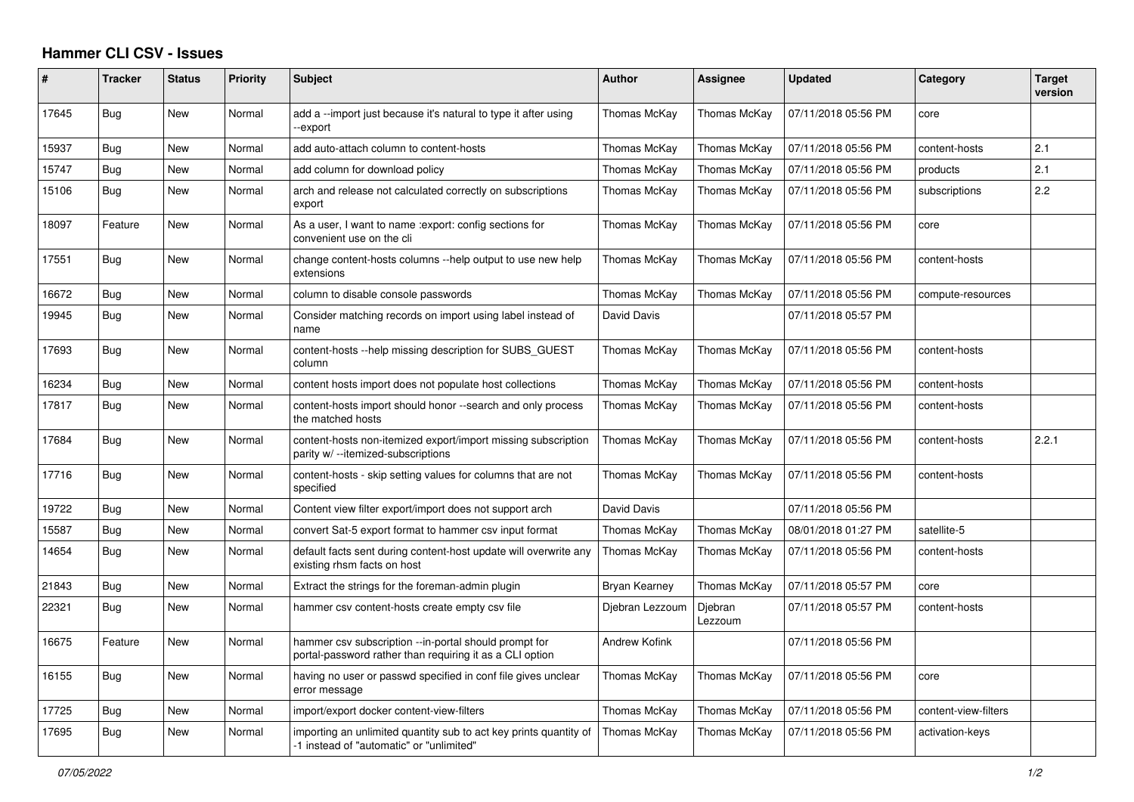## **Hammer CLI CSV - Issues**

| $\#$  | <b>Tracker</b> | <b>Status</b> | Priority | <b>Subject</b>                                                                                                    | <b>Author</b>        | Assignee           | <b>Updated</b>      | Category             | <b>Target</b><br>version |
|-------|----------------|---------------|----------|-------------------------------------------------------------------------------------------------------------------|----------------------|--------------------|---------------------|----------------------|--------------------------|
| 17645 | Bug            | New           | Normal   | add a --import just because it's natural to type it after using<br>-export                                        | Thomas McKay         | Thomas McKay       | 07/11/2018 05:56 PM | core                 |                          |
| 15937 | <b>Bug</b>     | <b>New</b>    | Normal   | add auto-attach column to content-hosts                                                                           | Thomas McKay         | Thomas McKay       | 07/11/2018 05:56 PM | content-hosts        | 2.1                      |
| 15747 | Bug            | New           | Normal   | add column for download policy                                                                                    | Thomas McKay         | Thomas McKay       | 07/11/2018 05:56 PM | products             | 2.1                      |
| 15106 | Bug            | <b>New</b>    | Normal   | arch and release not calculated correctly on subscriptions<br>export                                              | Thomas McKay         | Thomas McKay       | 07/11/2018 05:56 PM | subscriptions        | 2.2                      |
| 18097 | Feature        | New           | Normal   | As a user, I want to name : export: config sections for<br>convenient use on the cli                              | Thomas McKay         | Thomas McKay       | 07/11/2018 05:56 PM | core                 |                          |
| 17551 | <b>Bug</b>     | <b>New</b>    | Normal   | change content-hosts columns --help output to use new help<br>extensions                                          | Thomas McKay         | Thomas McKay       | 07/11/2018 05:56 PM | content-hosts        |                          |
| 16672 | Bug            | New           | Normal   | column to disable console passwords                                                                               | Thomas McKay         | Thomas McKay       | 07/11/2018 05:56 PM | compute-resources    |                          |
| 19945 | Bug            | New           | Normal   | Consider matching records on import using label instead of<br>name                                                | David Davis          |                    | 07/11/2018 05:57 PM |                      |                          |
| 17693 | Bug            | New           | Normal   | content-hosts --help missing description for SUBS GUEST<br>column                                                 | Thomas McKay         | Thomas McKay       | 07/11/2018 05:56 PM | content-hosts        |                          |
| 16234 | Bug            | New           | Normal   | content hosts import does not populate host collections                                                           | Thomas McKay         | Thomas McKay       | 07/11/2018 05:56 PM | content-hosts        |                          |
| 17817 | Bug            | New           | Normal   | content-hosts import should honor --search and only process<br>the matched hosts                                  | Thomas McKay         | Thomas McKay       | 07/11/2018 05:56 PM | content-hosts        |                          |
| 17684 | Bug            | <b>New</b>    | Normal   | content-hosts non-itemized export/import missing subscription<br>parity w/ --itemized-subscriptions               | Thomas McKay         | Thomas McKay       | 07/11/2018 05:56 PM | content-hosts        | 2.2.1                    |
| 17716 | Bug            | <b>New</b>    | Normal   | content-hosts - skip setting values for columns that are not<br>specified                                         | Thomas McKay         | Thomas McKay       | 07/11/2018 05:56 PM | content-hosts        |                          |
| 19722 | Bug            | New           | Normal   | Content view filter export/import does not support arch                                                           | David Davis          |                    | 07/11/2018 05:56 PM |                      |                          |
| 15587 | Bug            | New           | Normal   | convert Sat-5 export format to hammer csv input format                                                            | Thomas McKay         | Thomas McKay       | 08/01/2018 01:27 PM | satellite-5          |                          |
| 14654 | <b>Bug</b>     | New           | Normal   | default facts sent during content-host update will overwrite any<br>existing rhsm facts on host                   | Thomas McKay         | Thomas McKay       | 07/11/2018 05:56 PM | content-hosts        |                          |
| 21843 | Bug            | New           | Normal   | Extract the strings for the foreman-admin plugin                                                                  | Bryan Kearney        | Thomas McKay       | 07/11/2018 05:57 PM | core                 |                          |
| 22321 | Bug            | New           | Normal   | hammer csy content-hosts create empty csy file                                                                    | Djebran Lezzoum      | Djebran<br>Lezzoum | 07/11/2018 05:57 PM | content-hosts        |                          |
| 16675 | Feature        | New           | Normal   | hammer csv subscription --in-portal should prompt for<br>portal-password rather than requiring it as a CLI option | <b>Andrew Kofink</b> |                    | 07/11/2018 05:56 PM |                      |                          |
| 16155 | Bug            | New           | Normal   | having no user or passwd specified in conf file gives unclear<br>error message                                    | Thomas McKay         | Thomas McKay       | 07/11/2018 05:56 PM | core                 |                          |
| 17725 | Bug            | New           | Normal   | import/export docker content-view-filters                                                                         | Thomas McKay         | Thomas McKay       | 07/11/2018 05:56 PM | content-view-filters |                          |
| 17695 | Bug            | New           | Normal   | importing an unlimited quantity sub to act key prints quantity of<br>-1 instead of "automatic" or "unlimited"     | Thomas McKay         | Thomas McKay       | 07/11/2018 05:56 PM | activation-keys      |                          |